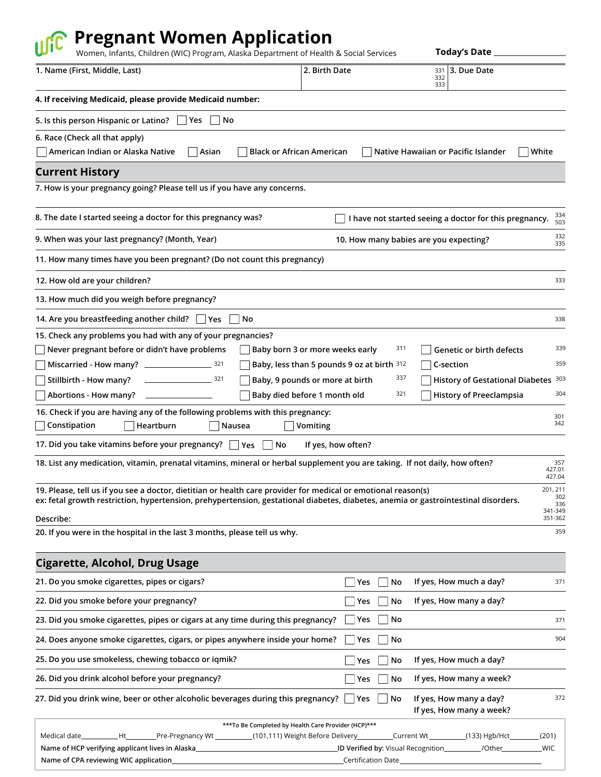## *<b>Ref* Pregnant Women Application

| Women, Infants, Children (WIC) Program, Alaska Department of Health & Social Services                                                                                                                                                               |                                            | <b>Today's Date</b>                                       |                         |
|-----------------------------------------------------------------------------------------------------------------------------------------------------------------------------------------------------------------------------------------------------|--------------------------------------------|-----------------------------------------------------------|-------------------------|
| 1. Name (First, Middle, Last)                                                                                                                                                                                                                       | 2. Birth Date                              | 3. Due Date<br>331<br>332<br>333                          |                         |
| 4. If receiving Medicaid, please provide Medicaid number:                                                                                                                                                                                           |                                            |                                                           |                         |
| 5. Is this person Hispanic or Latino?<br>Yes<br>No                                                                                                                                                                                                  |                                            |                                                           |                         |
| 6. Race (Check all that apply)                                                                                                                                                                                                                      |                                            |                                                           |                         |
| American Indian or Alaska Native<br>Asian<br>Black or African American                                                                                                                                                                              |                                            | Native Hawaiian or Pacific Islander                       | White                   |
| <b>Current History</b>                                                                                                                                                                                                                              |                                            |                                                           |                         |
| 7. How is your pregnancy going? Please tell us if you have any concerns.                                                                                                                                                                            |                                            |                                                           |                         |
| 8. The date I started seeing a doctor for this pregnancy was?                                                                                                                                                                                       |                                            | I have not started seeing a doctor for this pregnancy.    | 334<br>503              |
| 9. When was your last pregnancy? (Month, Year)                                                                                                                                                                                                      |                                            | 10. How many babies are you expecting?                    | 332<br>335              |
| 11. How many times have you been pregnant? (Do not count this pregnancy)                                                                                                                                                                            |                                            |                                                           |                         |
| 12. How old are your children?                                                                                                                                                                                                                      |                                            |                                                           | 333                     |
| 13. How much did you weigh before pregnancy?                                                                                                                                                                                                        |                                            |                                                           |                         |
| 14. Are you breastfeeding another child?   Yes<br>No                                                                                                                                                                                                |                                            |                                                           | 338                     |
| 15. Check any problems you had with any of your pregnancies?                                                                                                                                                                                        |                                            |                                                           |                         |
| Never pregnant before or didn't have problems<br>Baby born 3 or more weeks early                                                                                                                                                                    |                                            | 311<br>Genetic or birth defects                           | 339                     |
|                                                                                                                                                                                                                                                     | Baby, less than 5 pounds 9 oz at birth 312 | C-section                                                 | 359                     |
| Stillbirth - How many?<br>$\sim$ 321<br>Baby, 9 pounds or more at birth                                                                                                                                                                             |                                            | 337<br>History of Gestational Diabetes 303                |                         |
| Abortions - How many?<br>Baby died before 1 month old                                                                                                                                                                                               |                                            | 321<br><b>History of Preeclampsia</b>                     | 304                     |
| 16. Check if you are having any of the following problems with this pregnancy:                                                                                                                                                                      |                                            |                                                           | 301<br>342              |
| Constipation<br>Heartburn<br>Vomiting<br>Nausea                                                                                                                                                                                                     |                                            |                                                           |                         |
| 17. Did you take vitamins before your pregnancy? $\Box$ Yes<br>No                                                                                                                                                                                   | If yes, how often?                         |                                                           |                         |
| 18. List any medication, vitamin, prenatal vitamins, mineral or herbal supplement you are taking. If not daily, how often?                                                                                                                          |                                            |                                                           | 357<br>427.01<br>427.04 |
| 19. Please, tell us if you see a doctor, dietitian or health care provider for medical or emotional reason(s)<br>ex: fetal growth restriction, hypertension, prehypertension, gestational diabetes, diabetes, anemia or gastrointestinal disorders. |                                            |                                                           | 201, 211<br>302<br>336  |
| Describe:                                                                                                                                                                                                                                           |                                            |                                                           | 341-349<br>351-362      |
| 20. If you were in the hospital in the last 3 months, please tell us why.                                                                                                                                                                           |                                            |                                                           | 359                     |
|                                                                                                                                                                                                                                                     |                                            |                                                           |                         |
| <b>Cigarette, Alcohol, Drug Usage</b>                                                                                                                                                                                                               |                                            |                                                           |                         |
| 21. Do you smoke cigarettes, pipes or cigars?                                                                                                                                                                                                       | Yes                                        | If yes, How much a day?<br>No                             | 371                     |
| 22. Did you smoke before your pregnancy?                                                                                                                                                                                                            | Yes                                        | If yes, How many a day?<br>No                             |                         |
| 23. Did you smoke cigarettes, pipes or cigars at any time during this pregnancy?                                                                                                                                                                    | Yes                                        | No                                                        | 371                     |
| 24. Does anyone smoke cigarettes, cigars, or pipes anywhere inside your home?                                                                                                                                                                       | Yes                                        | No                                                        | 904                     |
| 25. Do you use smokeless, chewing tobacco or iqmik?                                                                                                                                                                                                 | Yes                                        | If yes, How much a day?<br>No                             |                         |
| 26. Did you drink alcohol before your pregnancy?                                                                                                                                                                                                    | Yes                                        | If yes, How many a week?<br>No                            |                         |
| 27. Did you drink wine, beer or other alcoholic beverages during this pregnancy?                                                                                                                                                                    | Yes                                        | If yes, How many a day?<br>No<br>If yes, How many a week? | 372                     |
| ***To Be Completed by Health Care Provider (HCP)***                                                                                                                                                                                                 |                                            |                                                           |                         |

| Medical date<br>Pre-Pregnancy Wt __             | (101,111) Weight Before Delivery<br>Current Wt | $(133)$ Hgb/Hct | (201)      |
|-------------------------------------------------|------------------------------------------------|-----------------|------------|
| Name of HCP verifying applicant lives in Alaska | <b>ID Verified by:</b> Visual Recognition      | /Other          | <b>WIC</b> |
| Name of CPA reviewing WIC application           | Certification Date                             |                 |            |